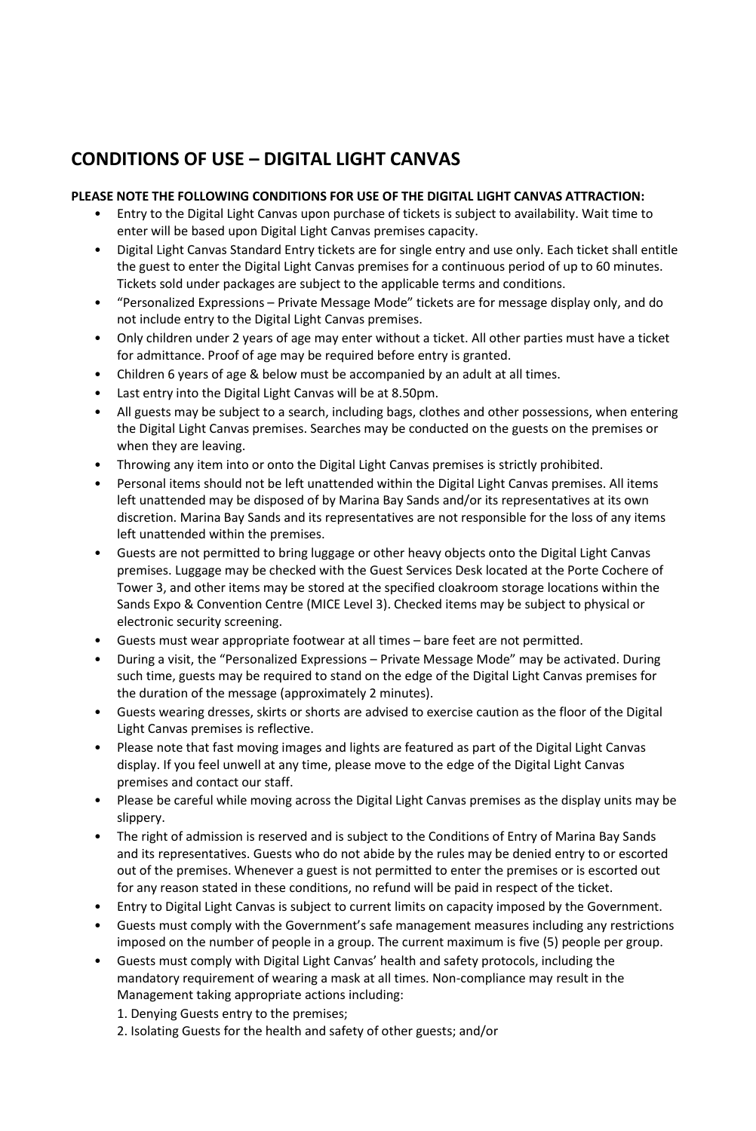## **CONDITIONS OF USE – DIGITAL LIGHT CANVAS**

## **PLEASE NOTE THE FOLLOWING CONDITIONS FOR USE OF THE DIGITAL LIGHT CANVAS ATTRACTION:**

- Entry to the Digital Light Canvas upon purchase of tickets is subject to availability. Wait time to enter will be based upon Digital Light Canvas premises capacity.
- Digital Light Canvas Standard Entry tickets are for single entry and use only. Each ticket shall entitle the guest to enter the Digital Light Canvas premises for a continuous period of up to 60 minutes. Tickets sold under packages are subject to the applicable terms and conditions.
- "Personalized Expressions Private Message Mode" tickets are for message display only, and do not include entry to the Digital Light Canvas premises.
- Only children under 2 years of age may enter without a ticket. All other parties must have a ticket for admittance. Proof of age may be required before entry is granted.
- Children 6 years of age & below must be accompanied by an adult at all times.
- Last entry into the Digital Light Canvas will be at 8.50pm.
- All guests may be subject to a search, including bags, clothes and other possessions, when entering the Digital Light Canvas premises. Searches may be conducted on the guests on the premises or when they are leaving.
- Throwing any item into or onto the Digital Light Canvas premises is strictly prohibited.
- Personal items should not be left unattended within the Digital Light Canvas premises. All items left unattended may be disposed of by Marina Bay Sands and/or its representatives at its own discretion. Marina Bay Sands and its representatives are not responsible for the loss of any items left unattended within the premises.
- Guests are not permitted to bring luggage or other heavy objects onto the Digital Light Canvas premises. Luggage may be checked with the Guest Services Desk located at the Porte Cochere of Tower 3, and other items may be stored at the specified cloakroom storage locations within the Sands Expo & Convention Centre (MICE Level 3). Checked items may be subject to physical or electronic security screening.
- Guests must wear appropriate footwear at all times bare feet are not permitted.
- During a visit, the "Personalized Expressions Private Message Mode" may be activated. During such time, guests may be required to stand on the edge of the Digital Light Canvas premises for the duration of the message (approximately 2 minutes).
- Guests wearing dresses, skirts or shorts are advised to exercise caution as the floor of the Digital Light Canvas premises is reflective.
- Please note that fast moving images and lights are featured as part of the Digital Light Canvas display. If you feel unwell at any time, please move to the edge of the Digital Light Canvas premises and contact our staff.
- Please be careful while moving across the Digital Light Canvas premises as the display units may be slippery.
- The right of admission is reserved and is subject to the Conditions of Entry of Marina Bay Sands and its representatives. Guests who do not abide by the rules may be denied entry to or escorted out of the premises. Whenever a guest is not permitted to enter the premises or is escorted out for any reason stated in these conditions, no refund will be paid in respect of the ticket.
- Entry to Digital Light Canvas is subject to current limits on capacity imposed by the Government.
- Guests must comply with the Government's safe management measures including any restrictions imposed on the number of people in a group. The current maximum is five (5) people per group.
- Guests must comply with Digital Light Canvas' health and safety protocols, including the mandatory requirement of wearing a mask at all times. Non-compliance may result in the Management taking appropriate actions including:
	- 1. Denying Guests entry to the premises;
	- 2. Isolating Guests for the health and safety of other guests; and/or